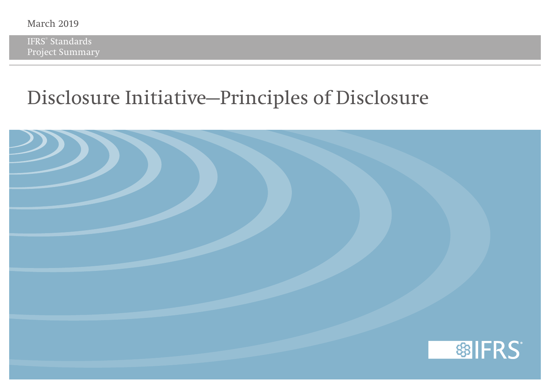IFRS® Standards Project Summary

### **Disclosure Initiative—Principles of Disclosure**

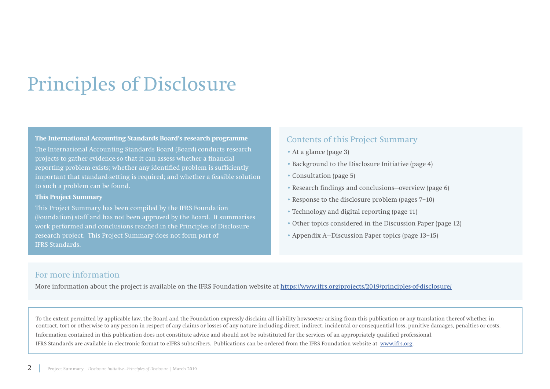## Principles of Disclosure

#### **The International Accounting Standards Board's research programme**

The International Accounting Standards Board (Board) conducts research projects to gather evidence so that it can assess whether a financial reporting problem exists; whether any identified problem is sufficiently important that standard-setting is required; and whether a feasible solution to such a problem can be found.

#### **This Project Summary**

This Project Summary has been compiled by the IFRS Foundation (Foundation) staff and has not been approved by the Board. It summarises work performed and conclusions reached in the Principles of Disclosure research project. This Project Summary does not form part of IFRS Standards.

#### Contents of this Project Summary

- At a glance (page 3)
- Background to the Disclosure Initiative (page 4)
- Consultation (page 5)
- Research findings and conclusions—overview (page 6)
- Response to the disclosure problem (pages 7–10)
- Technology and digital reporting (page 11)
- Other topics considered in the Discussion Paper (page 12)
- Appendix A—Discussion Paper topics (page 13–15)

#### For more information

More information about the project is available on the IFRS Foundation website at<https://www.ifrs.org/projects/2019/principles-of-disclosure/>

To the extent permitted by applicable law, the Board and the Foundation expressly disclaim all liability howsoever arising from this publication or any translation thereof whether in contract, tort or otherwise to any person in respect of any claims or losses of any nature including direct, indirect, incidental or consequential loss, punitive damages, penalties or costs. Information contained in this publication does not constitute advice and should not be substituted for the services of an appropriately qualified professional. IFRS Standards are available in electronic format to eIFRS subscribers. Publications can be ordered from the IFRS Foundation website at [www.ifrs.org](http://www.ifrs.org).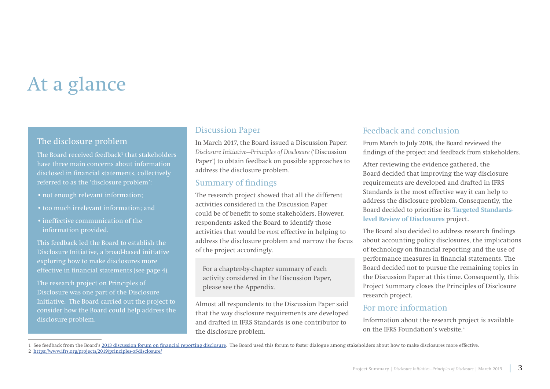## At a glance

#### The disclosure problem

The Board received feedback $^1$  that stakeholders have three main concerns about information disclosed in financial statements, collectively referred to as the 'disclosure problem':

- not enough relevant information;
- too much irrelevant information; and
- ineffective communication of the information provided.

This feedback led the Board to establish the Disclosure Initiative, a broad-based initiative exploring how to make disclosures more effective in financial statements (see page 4).

The research project on Principles of Disclosure was one part of the Disclosure Initiative. The Board carried out the project to consider how the Board could help address the disclosure problem.

#### Discussion Paper

In March 2017, the Board issued a Discussion Paper: *Disclosure Initiative—Principles of Disclosure* ('Discussion Paper') to obtain feedback on possible approaches to address the disclosure problem.

#### Summary of findings

The research project showed that all the different activities considered in the Discussion Paper could be of benefit to some stakeholders. However, respondents asked the Board to identify those activities that would be *most* effective in helping to address the disclosure problem and narrow the focus of the project accordingly.

For a chapter-by-chapter summary of each activity considered in the Discussion Paper, please see the Appendix.

Almost all respondents to the Discussion Paper said that the way disclosure requirements are developed and drafted in IFRS Standards is one contributor to the disclosure problem.

#### Feedback and conclusion

From March to July 2018, the Board reviewed the findings of the project and feedback from stakeholders.

After reviewing the evidence gathered, the Board decided that improving the way disclosure requirements are developed and drafted in IFRS Standards is the most effective way it can help to address the disclosure problem. Consequently, the Board decided to prioritise its **Targeted Standardslevel Review of Disclosures** project.

The Board also decided to address research findings about accounting policy disclosures, the implications of technology on financial reporting and the use of performance measures in financial statements. The Board decided not to pursue the remaining topics in the Discussion Paper at this time. Consequently, this Project Summary closes the Principles of Disclosure research project.

#### For more information

Information about the research project is available on the IFRS Foundation's website.2

1 See feedback from the Board's [2013 discussion forum on financial reporting disclosure.](https://www.ifrs.org/-/media/project/disclosure-initative/feedback-statement-discussion-forum-financial-reporting-disclosure-may-2013.pdf
) The Board used this forum to foster dialogue among stakeholders about how to make disclosures more effective.

2 [https://www.ifrs.org/projects/2019/principles-of-disclosure/](https://www.ifrs.org/ErrorPages/404/?item=%2fprojects%2f2019%2fprinciples-of-disclosure%2f&user=ifrs%5cAnonymous&site=website
)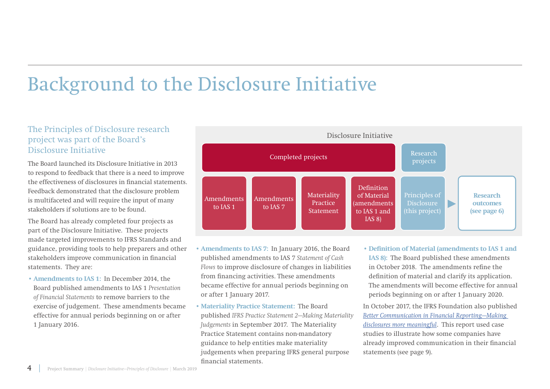### Background to the Disclosure Initiative

### The Principles of Disclosure research project was part of the Board's Disclosure Initiative

The Board launched its Disclosure Initiative in 2013 to respond to feedback that there is a need to improve the effectiveness of disclosures in financial statements. Feedback demonstrated that the disclosure problem is multifaceted and will require the input of many stakeholders if solutions are to be found.

The Board has already completed four projects as part of the Disclosure Initiative. These projects made targeted improvements to IFRS Standards and guidance, providing tools to help preparers and other stakeholders improve communication in financial statements. They are:

• **Amendments to IAS 1:** In December 2014, the Board published amendments to IAS 1 *Presentation of Financial Statements* to remove barriers to the exercise of judgement. These amendments became effective for annual periods beginning on or after 1 January 2016.



- **Amendments to IAS 7:** In January 2016, the Board published amendments to IAS 7 *Statement of Cash Flows* to improve disclosure of changes in liabilities from financing activities. These amendments became effective for annual periods beginning on or after 1 January 2017.
- **Materiality Practice Statement:** The Board published *IFRS Practice Statement 2—Making Materiality Judgements* in September 2017. The Materiality Practice Statement contains non-mandatory guidance to help entities make materiality judgements when preparing IFRS general purpose financial statements.
- **Definition of Material (amendments to IAS 1 and IAS 8):** The Board published these amendments in October 2018. The amendments refine the definition of material and clarify its application. The amendments will become effective for annual periods beginning on or after 1 January 2020.

In October 2017, the IFRS Foundation also published *[Better Communication in Financial Reporting—Making](https://www.ifrs.org/-/media/project/disclosure-initative/better-communication-making-disclosures-more-meaningful.pdf?la=en
)  [disclosures more meaningful](https://www.ifrs.org/-/media/project/disclosure-initative/better-communication-making-disclosures-more-meaningful.pdf?la=en
)*. This report used case studies to illustrate how some companies have already improved communication in their financial statements (see page 9).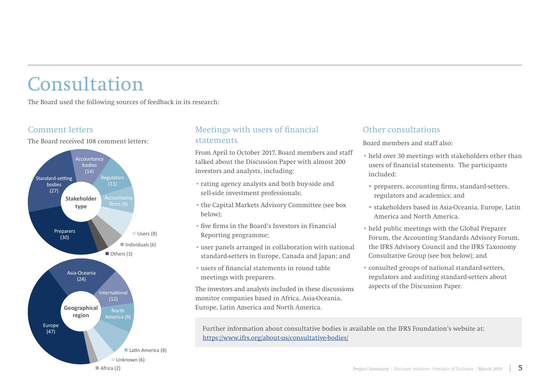### Consultation

The Board used the following sources of feedback in its research:

### Comment letters

The Board received 108 comment letters:



### Meetings with users of financial statements

From April to October 2017, Board members and staff talked about the Discussion Paper with almost 200 investors and analysts, including:

- rating agency analysts and both buy-side and sell-side investment professionals;
- the Capital Markets Advisory Committee (see box below);
- five firms in the Board's Investors in Financial Reporting programme;
- user panels arranged in collaboration with national standard-setters in Europe, Canada and Japan; and
- users of financial statements in round table meetings with preparers.

The investors and analysts included in these discussions monitor companies based in Africa, Asia-Oceania, Europe, Latin America and North America.

### Other consultations

Board members and staff also:

- held over 30 meetings with stakeholders other than users of financial statements. The participants included:
- preparers, accounting firms, standard-setters, regulators and academics; and
- stakeholders based in Asia-Oceania, Europe, Latin America and North America.
- held public meetings with the Global Preparer Forum, the Accounting Standards Advisory Forum, the IFRS Advisory Council and the IFRS Taxonomy Consultative Group (see box below); and
- consulted groups of national standard-setters, regulators and auditing standard-setters about aspects of the Discussion Paper.

Further information about consultative bodies is available on the IFRS Foundation's website at: <https://www.ifrs.org/about-us/consultative-bodies/>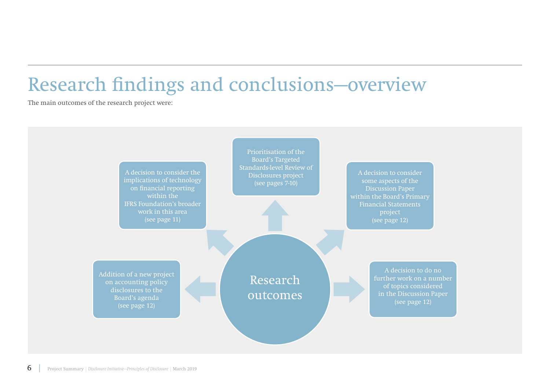### Research findings and conclusions—overview

The main outcomes of the research project were:

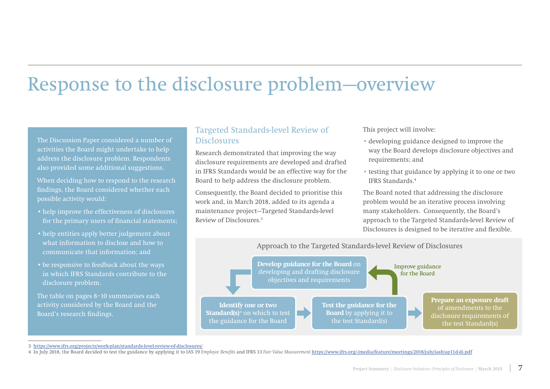### Response to the disclosure problem—overview

The Discussion Paper considered a number of activities the Board might undertake to help address the disclosure problem. Respondents also provided some additional suggestions.

When deciding how to respond to the research findings, the Board considered whether each possible activity would:

- help improve the effectiveness of disclosures for the primary users of financial statements;
- help entities apply better judgement about what information to disclose and how to communicate that information; and
- be responsive to feedback about the ways in which IFRS Standards contribute to the disclosure problem.

The table on pages 8–10 summarises each activity considered by the Board and the Board's research findings.

### Targeted Standards-level Review of **Disclosures**

Research demonstrated that improving the way disclosure requirements are developed and drafted in IFRS Standards would be an effective way for the Board to help address the disclosure problem.

Consequently, the Board decided to prioritise this work and, in March 2018, added to its agenda a maintenance project—Targeted Standards-level Review of Disclosures<sup>3</sup>

This project will involve:

- developing guidance designed to improve the way the Board develops disclosure objectives and requirements; and
- testing that guidance by applying it to one or two IFRS Standards.4

The Board noted that addressing the disclosure problem would be an iterative process involving many stakeholders. Consequently, the Board's approach to the Targeted Standards-level Review of Disclosures is designed to be iterative and flexible.



3 <https://www.ifrs.org/projects/work-plan/standards-level-review-of-disclosures/>

<sup>4</sup> In July 2018, the Board decided to test the guidance by applying it to IAS 19 *Employee Benefits* and IFRS 13 *Fair Value Measurement* <https://www.ifrs.org/-/media/feature/meetings/2018/july/iasb/ap11d-di.pdf>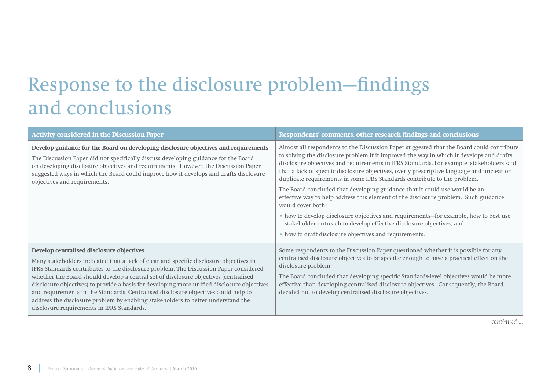## Response to the disclosure problem—findings and conclusions

| <b>Activity considered in the Discussion Paper</b>                                                                                                                                                                                                                                                                                                                                                                                                                                                                                                                                                                                          | Respondents' comments, other research findings and conclusions                                                                                                                                                                                                                                                                                                                                                                                                                                                                                                                                                                                                                                                                                                                                                                                                                 |  |
|---------------------------------------------------------------------------------------------------------------------------------------------------------------------------------------------------------------------------------------------------------------------------------------------------------------------------------------------------------------------------------------------------------------------------------------------------------------------------------------------------------------------------------------------------------------------------------------------------------------------------------------------|--------------------------------------------------------------------------------------------------------------------------------------------------------------------------------------------------------------------------------------------------------------------------------------------------------------------------------------------------------------------------------------------------------------------------------------------------------------------------------------------------------------------------------------------------------------------------------------------------------------------------------------------------------------------------------------------------------------------------------------------------------------------------------------------------------------------------------------------------------------------------------|--|
| Develop guidance for the Board on developing disclosure objectives and requirements<br>The Discussion Paper did not specifically discuss developing guidance for the Board<br>on developing disclosure objectives and requirements. However, the Discussion Paper<br>suggested ways in which the Board could improve how it develops and drafts disclosure<br>objectives and requirements.                                                                                                                                                                                                                                                  | Almost all respondents to the Discussion Paper suggested that the Board could contribute<br>to solving the disclosure problem if it improved the way in which it develops and drafts<br>disclosure objectives and requirements in IFRS Standards. For example, stakeholders said<br>that a lack of specific disclosure objectives, overly prescriptive language and unclear or<br>duplicate requirements in some IFRS Standards contribute to the problem.<br>The Board concluded that developing guidance that it could use would be an<br>effective way to help address this element of the disclosure problem. Such guidance<br>would cover both:<br>• how to develop disclosure objectives and requirements-for example, how to best use<br>stakeholder outreach to develop effective disclosure objectives; and<br>• how to draft disclosure objectives and requirements. |  |
|                                                                                                                                                                                                                                                                                                                                                                                                                                                                                                                                                                                                                                             |                                                                                                                                                                                                                                                                                                                                                                                                                                                                                                                                                                                                                                                                                                                                                                                                                                                                                |  |
| Develop centralised disclosure objectives<br>Many stakeholders indicated that a lack of clear and specific disclosure objectives in<br>IFRS Standards contributes to the disclosure problem. The Discussion Paper considered<br>whether the Board should develop a central set of disclosure objectives (centralised<br>disclosure objectives) to provide a basis for developing more unified disclosure objectives<br>and requirements in the Standards. Centralised disclosure objectives could help to<br>address the disclosure problem by enabling stakeholders to better understand the<br>disclosure requirements in IFRS Standards. | Some respondents to the Discussion Paper questioned whether it is possible for any<br>centralised disclosure objectives to be specific enough to have a practical effect on the<br>disclosure problem.<br>The Board concluded that developing specific Standards-level objectives would be more<br>effective than developing centralised disclosure objectives. Consequently, the Board<br>decided not to develop centralised disclosure objectives.                                                                                                                                                                                                                                                                                                                                                                                                                           |  |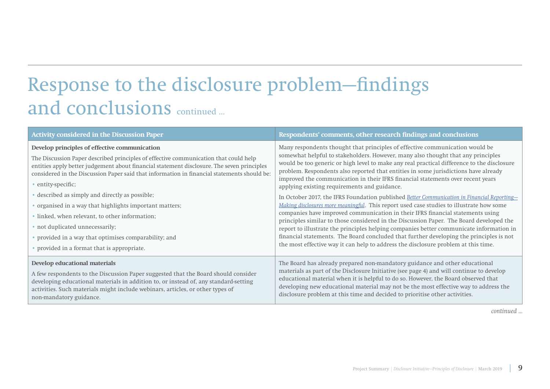## Response to the disclosure problem—findings and conclusions continued ...

| <b>Activity considered in the Discussion Paper</b>                                                                                                                                                                                                                                                                                                                                                                                                                                                                                                                                                                                                                  | Respondents' comments, other research findings and conclusions                                                                                                                                                                                                                                                                                                                                                                                                                                                                                                                                                                                                                                                                                                                                                                                                                                                                                                                                                                                                                                                                               |
|---------------------------------------------------------------------------------------------------------------------------------------------------------------------------------------------------------------------------------------------------------------------------------------------------------------------------------------------------------------------------------------------------------------------------------------------------------------------------------------------------------------------------------------------------------------------------------------------------------------------------------------------------------------------|----------------------------------------------------------------------------------------------------------------------------------------------------------------------------------------------------------------------------------------------------------------------------------------------------------------------------------------------------------------------------------------------------------------------------------------------------------------------------------------------------------------------------------------------------------------------------------------------------------------------------------------------------------------------------------------------------------------------------------------------------------------------------------------------------------------------------------------------------------------------------------------------------------------------------------------------------------------------------------------------------------------------------------------------------------------------------------------------------------------------------------------------|
| Develop principles of effective communication<br>The Discussion Paper described principles of effective communication that could help<br>entities apply better judgement about financial statement disclosure. The seven principles<br>considered in the Discussion Paper said that information in financial statements should be:<br>• entity-specific;<br>• described as simply and directly as possible;<br>• organised in a way that highlights important matters;<br>• linked, when relevant, to other information;<br>• not duplicated unnecessarily;<br>• provided in a way that optimises comparability; and<br>• provided in a format that is appropriate. | Many respondents thought that principles of effective communication would be<br>somewhat helpful to stakeholders. However, many also thought that any principles<br>would be too generic or high level to make any real practical difference to the disclosure<br>problem. Respondents also reported that entities in some jurisdictions have already<br>improved the communication in their IFRS financial statements over recent years<br>applying existing requirements and guidance.<br>In October 2017, the IFRS Foundation published Better Communication in Financial Reporting-<br>Making disclosures more meaningful. This report used case studies to illustrate how some<br>companies have improved communication in their IFRS financial statements using<br>principles similar to those considered in the Discussion Paper. The Board developed the<br>report to illustrate the principles helping companies better communicate information in<br>financial statements. The Board concluded that further developing the principles is not<br>the most effective way it can help to address the disclosure problem at this time. |
| Develop educational materials<br>A few respondents to the Discussion Paper suggested that the Board should consider<br>developing educational materials in addition to, or instead of, any standard-setting<br>activities. Such materials might include webinars, articles, or other types of<br>non-mandatory guidance.                                                                                                                                                                                                                                                                                                                                            | The Board has already prepared non-mandatory guidance and other educational<br>materials as part of the Disclosure Initiative (see page 4) and will continue to develop<br>educational material when it is helpful to do so. However, the Board observed that<br>developing new educational material may not be the most effective way to address the<br>disclosure problem at this time and decided to prioritise other activities.                                                                                                                                                                                                                                                                                                                                                                                                                                                                                                                                                                                                                                                                                                         |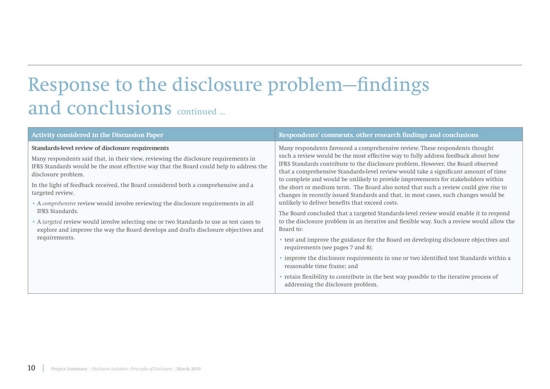## Response to the disclosure problem—findings and conclusions continued ...

| <b>Activity considered in the Discussion Paper</b>                                                                                                                                                                                                                                                                                                                                                                                                                                                                                                                                                                                                                                 | Respondents' comments, other research findings and conclusions                                                                                                                                                                                                                                                                                                                                                                                                                                                                                                                                                                                                                                                                                                                                                                                                                                                                                                                                                                                                                                                                                                                                                                                               |  |
|------------------------------------------------------------------------------------------------------------------------------------------------------------------------------------------------------------------------------------------------------------------------------------------------------------------------------------------------------------------------------------------------------------------------------------------------------------------------------------------------------------------------------------------------------------------------------------------------------------------------------------------------------------------------------------|--------------------------------------------------------------------------------------------------------------------------------------------------------------------------------------------------------------------------------------------------------------------------------------------------------------------------------------------------------------------------------------------------------------------------------------------------------------------------------------------------------------------------------------------------------------------------------------------------------------------------------------------------------------------------------------------------------------------------------------------------------------------------------------------------------------------------------------------------------------------------------------------------------------------------------------------------------------------------------------------------------------------------------------------------------------------------------------------------------------------------------------------------------------------------------------------------------------------------------------------------------------|--|
| Standards-level review of disclosure requirements<br>Many respondents said that, in their view, reviewing the disclosure requirements in<br>IFRS Standards would be the most effective way that the Board could help to address the<br>disclosure problem.<br>In the light of feedback received, the Board considered both a comprehensive and a<br>targeted review.<br>• A comprehensive review would involve reviewing the disclosure requirements in all<br>IFRS Standards.<br>• A targeted review would involve selecting one or two Standards to use as test cases to<br>explore and improve the way the Board develops and drafts disclosure objectives and<br>requirements. | Many respondents favoured a comprehensive review. These respondents thought<br>such a review would be the most effective way to fully address feedback about how<br>IFRS Standards contribute to the disclosure problem. However, the Board observed<br>that a comprehensive Standards-level review would take a significant amount of time<br>to complete and would be unlikely to provide improvements for stakeholders within<br>the short or medium term. The Board also noted that such a review could give rise to<br>changes in recently issued Standards and that, in most cases, such changes would be<br>unlikely to deliver benefits that exceed costs.<br>The Board concluded that a targeted Standards-level review would enable it to respond<br>to the disclosure problem in an iterative and flexible way. Such a review would allow the<br>Board to:<br>• test and improve the guidance for the Board on developing disclosure objectives and<br>requirements (see pages 7 and 8);<br>• improve the disclosure requirements in one or two identified test Standards within a<br>reasonable time frame; and<br>• retain flexibility to contribute in the best way possible to the iterative process of<br>addressing the disclosure problem. |  |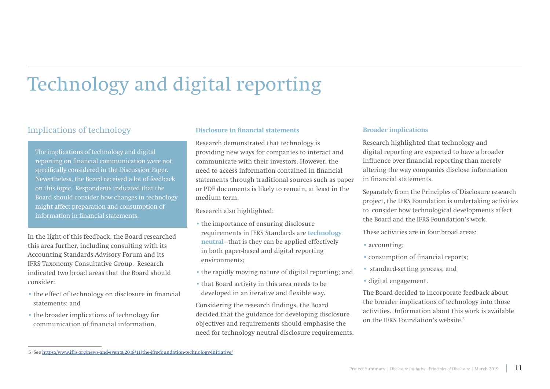# Technology and digital reporting

### Implications of technology **Disclosure in financial statements**

The implications of technology and digital reporting on financial communication were not specifically considered in the Discussion Paper. Nevertheless, the Board received a lot of feedback on this topic. Respondents indicated that the Board should consider how changes in technology might affect preparation and consumption of information in financial statements.

In the light of this feedback, the Board researched this area further, including consulting with its Accounting Standards Advisory Forum and its IFRS Taxonomy Consultative Group. Research indicated two broad areas that the Board should consider:

- the effect of technology on disclosure in financial statements; and
- the broader implications of technology for communication of financial information.

Research demonstrated that technology is providing new ways for companies to interact and communicate with their investors. However, the need to access information contained in financial statements through traditional sources such as paper or PDF documents is likely to remain, at least in the medium term.

Research also highlighted:

- the importance of ensuring disclosure requirements in IFRS Standards are **technology neutral**—that is they can be applied effectively in both paper-based and digital reporting environments;
- the rapidly moving nature of digital reporting; and
- that Board activity in this area needs to be developed in an iterative and flexible way.

Considering the research findings, the Board decided that the guidance for developing disclosure objectives and requirements should emphasise the need for technology neutral disclosure requirements.

#### **Broader implications**

Research highlighted that technology and digital reporting are expected to have a broader influence over financial reporting than merely altering the way companies disclose information in financial statements.

Separately from the Principles of Disclosure research project, the IFRS Foundation is undertaking activities to consider how technological developments affect the Board and the IFRS Foundation's work.

These activities are in four broad areas:

- accounting:
- consumption of financial reports;
- standard-setting process; and
- digital engagement.

The Board decided to incorporate feedback about the broader implications of technology into those activities. Information about this work is available on the IFRS Foundation's website.5

<sup>5</sup> See <https://www.ifrs.org/news-and-events/2018/11/the-ifrs-foundation-technology-initiative/>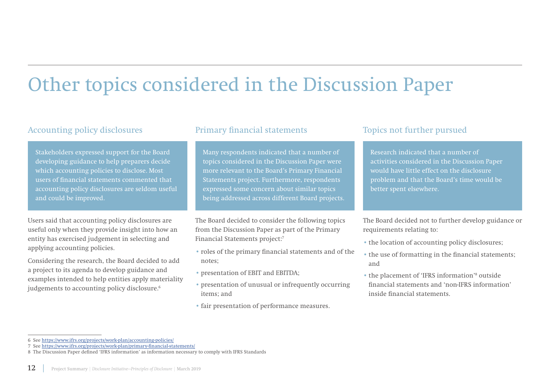### Other topics considered in the Discussion Paper

### Accounting policy disclosures **Primary financial statements** Topics not further pursued

Stakeholders expressed support for the Board developing guidance to help preparers decide which accounting policies to disclose. Most users of financial statements commented that accounting policy disclosures are seldom useful and could be improved.

Users said that accounting policy disclosures are useful only when they provide insight into how an entity has exercised judgement in selecting and applying accounting policies.

Considering the research, the Board decided to add a project to its agenda to develop guidance and examples intended to help entities apply materiality judgements to accounting policy disclosure.<sup>6</sup>

Many respondents indicated that a number of topics considered in the Discussion Paper were more relevant to the Board's Primary Financial Statements project. Furthermore, respondents expressed some concern about similar topics being addressed across different Board projects.

The Board decided to consider the following topics from the Discussion Paper as part of the Primary Financial Statements project:7

- roles of the primary financial statements and of the notes;
- presentation of EBIT and EBITDA;
- presentation of unusual or infrequently occurring items; and
- fair presentation of performance measures.

Research indicated that a number of activities considered in the Discussion Paper would have little effect on the disclosure problem and that the Board's time would be better spent elsewhere.

The Board decided not to further develop guidance or requirements relating to:

- the location of accounting policy disclosures;
- the use of formatting in the financial statements; and
- the placement of 'IFRS information'<sup>8</sup> outside financial statements and 'non-IFRS information' inside financial statements.

<sup>6</sup> See <https://www.ifrs.org/projects/work-plan/accounting-policies/>

<sup>7</sup> See [https://www.ifrs.org/projects/work-plan/primary-financial-statements/](https://www.ifrs.org/projects/work-plan/accounting-policies/)

<sup>8</sup> The Discussion Paper defined 'IFRS information' as information necessary to comply with IFRS Standards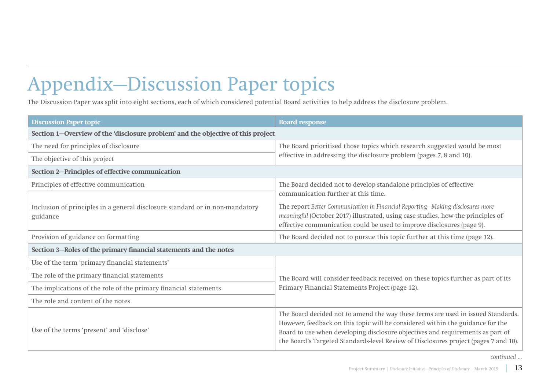# Appendix—Discussion Paper topics

The Discussion Paper was split into eight sections, each of which considered potential Board activities to help address the disclosure problem.

| <b>Discussion Paper topic</b>                                                            | <b>Board response</b>                                                                                                                                                                                                                                                                                                                        |  |
|------------------------------------------------------------------------------------------|----------------------------------------------------------------------------------------------------------------------------------------------------------------------------------------------------------------------------------------------------------------------------------------------------------------------------------------------|--|
| Section 1-Overview of the 'disclosure problem' and the objective of this project         |                                                                                                                                                                                                                                                                                                                                              |  |
| The need for principles of disclosure                                                    | The Board prioritised those topics which research suggested would be most                                                                                                                                                                                                                                                                    |  |
| The objective of this project                                                            | effective in addressing the disclosure problem (pages 7, 8 and 10).                                                                                                                                                                                                                                                                          |  |
| Section 2-Principles of effective communication                                          |                                                                                                                                                                                                                                                                                                                                              |  |
| Principles of effective communication                                                    | The Board decided not to develop standalone principles of effective                                                                                                                                                                                                                                                                          |  |
|                                                                                          | communication further at this time.                                                                                                                                                                                                                                                                                                          |  |
| Inclusion of principles in a general disclosure standard or in non-mandatory<br>guidance | The report Better Communication in Financial Reporting-Making disclosures more<br>meaningful (October 2017) illustrated, using case studies, how the principles of<br>effective communication could be used to improve disclosures (page 9).                                                                                                 |  |
| Provision of guidance on formatting                                                      | The Board decided not to pursue this topic further at this time (page 12).                                                                                                                                                                                                                                                                   |  |
| Section 3-Roles of the primary financial statements and the notes                        |                                                                                                                                                                                                                                                                                                                                              |  |
| Use of the term 'primary financial statements'                                           |                                                                                                                                                                                                                                                                                                                                              |  |
| The role of the primary financial statements                                             | The Board will consider feedback received on these topics further as part of its                                                                                                                                                                                                                                                             |  |
| The implications of the role of the primary financial statements                         | Primary Financial Statements Project (page 12).                                                                                                                                                                                                                                                                                              |  |
| The role and content of the notes                                                        |                                                                                                                                                                                                                                                                                                                                              |  |
| Use of the terms 'present' and 'disclose'                                                | The Board decided not to amend the way these terms are used in issued Standards.<br>However, feedback on this topic will be considered within the guidance for the<br>Board to use when developing disclosure objectives and requirements as part of<br>the Board's Targeted Standards-level Review of Disclosures project (pages 7 and 10). |  |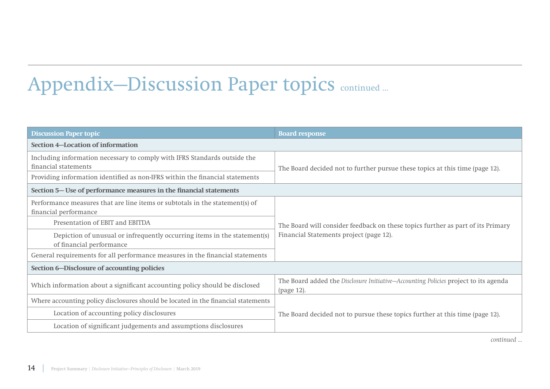# Appendix-Discussion Paper topics continued ...

| <b>Discussion Paper topic</b>                                                                         | <b>Board response</b>                                                                             |  |
|-------------------------------------------------------------------------------------------------------|---------------------------------------------------------------------------------------------------|--|
| <b>Section 4-Location of information</b>                                                              |                                                                                                   |  |
| Including information necessary to comply with IFRS Standards outside the<br>financial statements     | The Board decided not to further pursue these topics at this time (page 12).                      |  |
| Providing information identified as non-IFRS within the financial statements                          |                                                                                                   |  |
| Section 5– Use of performance measures in the financial statements                                    |                                                                                                   |  |
| Performance measures that are line items or subtotals in the statement(s) of<br>financial performance |                                                                                                   |  |
| Presentation of EBIT and EBITDA                                                                       | The Board will consider feedback on these topics further as part of its Primary                   |  |
| Depiction of unusual or infrequently occurring items in the statement(s)<br>of financial performance  | Financial Statements project (page 12).                                                           |  |
| General requirements for all performance measures in the financial statements                         |                                                                                                   |  |
| Section 6–Disclosure of accounting policies                                                           |                                                                                                   |  |
| Which information about a significant accounting policy should be disclosed                           | The Board added the Disclosure Initiative-Accounting Policies project to its agenda<br>(page 12). |  |
| Where accounting policy disclosures should be located in the financial statements                     |                                                                                                   |  |
| Location of accounting policy disclosures                                                             | The Board decided not to pursue these topics further at this time (page 12).                      |  |
| Location of significant judgements and assumptions disclosures                                        |                                                                                                   |  |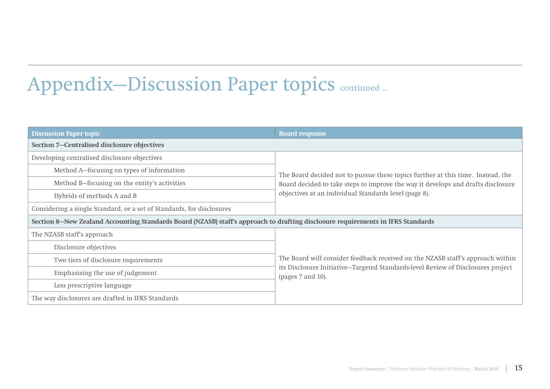# Appendix-Discussion Paper topics continued ...

| <b>Discussion Paper topic</b>                                                                                                   | <b>Board response</b>                                                                                                                     |  |
|---------------------------------------------------------------------------------------------------------------------------------|-------------------------------------------------------------------------------------------------------------------------------------------|--|
| Section 7-Centralised disclosure objectives                                                                                     |                                                                                                                                           |  |
| Developing centralised disclosure objectives                                                                                    |                                                                                                                                           |  |
| Method A-focusing on types of information                                                                                       | The Board decided not to pursue these topics further at this time. Instead, the                                                           |  |
| Method B-focusing on the entity's activities                                                                                    | Board decided to take steps to improve the way it develops and drafts disclosure<br>objectives at an individual Standards level (page 8). |  |
| Hybrids of methods A and B                                                                                                      |                                                                                                                                           |  |
| Considering a single Standard, or a set of Standards, for disclosures                                                           |                                                                                                                                           |  |
| Section 8—New Zealand Accounting Standards Board (NZASB) staff's approach to drafting disclosure requirements in IFRS Standards |                                                                                                                                           |  |
| The NZASB staff's approach                                                                                                      |                                                                                                                                           |  |
| Disclosure objectives                                                                                                           |                                                                                                                                           |  |
| Two tiers of disclosure requirements                                                                                            | The Board will consider feedback received on the NZASB staff's approach within                                                            |  |
| Emphasising the use of judgement                                                                                                | its Disclosure Initiative-Targeted Standards-level Review of Disclosures project<br>(pages 7 and 10).                                     |  |
| Less prescriptive language                                                                                                      |                                                                                                                                           |  |
| The way disclosures are drafted in IFRS Standards                                                                               |                                                                                                                                           |  |